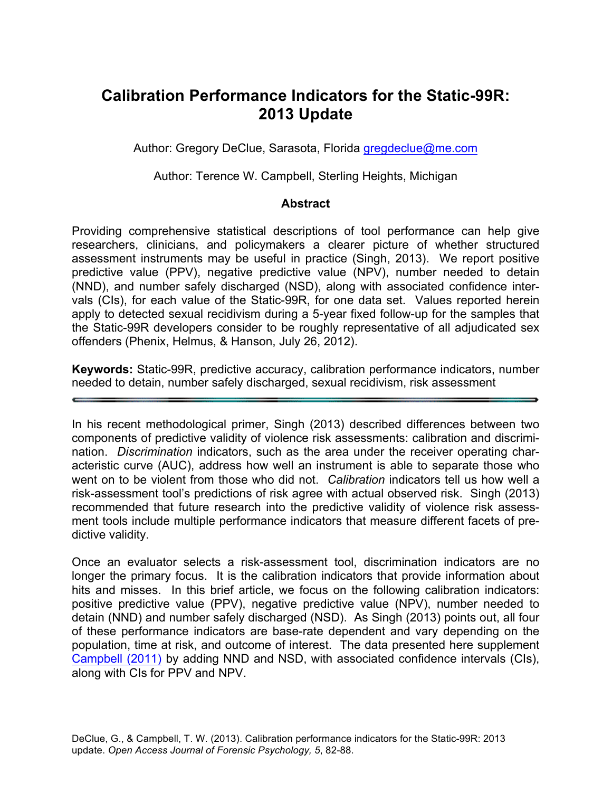# **Calibration Performance Indicators for the Static-99R: 2013 Update**

Author: Gregory DeClue, Sarasota, Florida gregdeclue@me.com

Author: Terence W. Campbell, Sterling Heights, Michigan

## **Abstract**

Providing comprehensive statistical descriptions of tool performance can help give researchers, clinicians, and policymakers a clearer picture of whether structured assessment instruments may be useful in practice (Singh, 2013). We report positive predictive value (PPV), negative predictive value (NPV), number needed to detain (NND), and number safely discharged (NSD), along with associated confidence intervals (CIs), for each value of the Static-99R, for one data set. Values reported herein apply to detected sexual recidivism during a 5-year fixed follow-up for the samples that the Static-99R developers consider to be roughly representative of all adjudicated sex offenders (Phenix, Helmus, & Hanson, July 26, 2012).

**Keywords:** Static-99R, predictive accuracy, calibration performance indicators, number needed to detain, number safely discharged, sexual recidivism, risk assessment

In his recent methodological primer, Singh (2013) described differences between two components of predictive validity of violence risk assessments: calibration and discrimination. *Discrimination* indicators, such as the area under the receiver operating characteristic curve (AUC), address how well an instrument is able to separate those who went on to be violent from those who did not. *Calibration* indicators tell us how well a risk-assessment tool's predictions of risk agree with actual observed risk. Singh (2013) recommended that future research into the predictive validity of violence risk assessment tools include multiple performance indicators that measure different facets of predictive validity.

Once an evaluator selects a risk-assessment tool, discrimination indicators are no longer the primary focus. It is the calibration indicators that provide information about hits and misses. In this brief article, we focus on the following calibration indicators: positive predictive value (PPV), negative predictive value (NPV), number needed to detain (NND) and number safely discharged (NSD). As Singh (2013) points out, all four of these performance indicators are base-rate dependent and vary depending on the population, time at risk, and outcome of interest. The data presented here supplement Campbell (2011) by adding NND and NSD, with associated confidence intervals (CIs), along with CIs for PPV and NPV.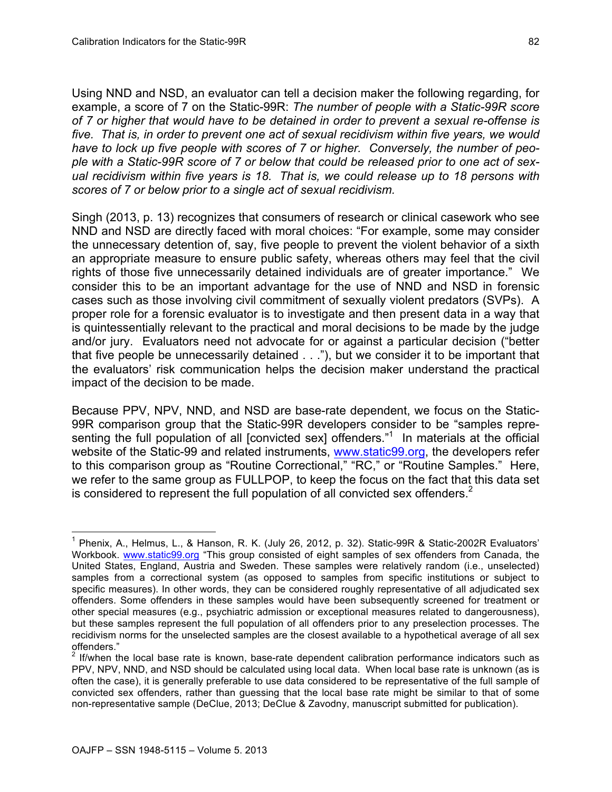Using NND and NSD, an evaluator can tell a decision maker the following regarding, for example, a score of 7 on the Static-99R: *The number of people with a Static-99R score of 7 or higher that would have to be detained in order to prevent a sexual re-offense is five. That is, in order to prevent one act of sexual recidivism within five years, we would have to lock up five people with scores of 7 or higher. Conversely, the number of people with a Static-99R score of 7 or below that could be released prior to one act of sexual recidivism within five years is 18. That is, we could release up to 18 persons with scores of 7 or below prior to a single act of sexual recidivism.*

Singh (2013, p. 13) recognizes that consumers of research or clinical casework who see NND and NSD are directly faced with moral choices: "For example, some may consider the unnecessary detention of, say, five people to prevent the violent behavior of a sixth an appropriate measure to ensure public safety, whereas others may feel that the civil rights of those five unnecessarily detained individuals are of greater importance." We consider this to be an important advantage for the use of NND and NSD in forensic cases such as those involving civil commitment of sexually violent predators (SVPs). A proper role for a forensic evaluator is to investigate and then present data in a way that is quintessentially relevant to the practical and moral decisions to be made by the judge and/or jury. Evaluators need not advocate for or against a particular decision ("better that five people be unnecessarily detained . . ."), but we consider it to be important that the evaluators' risk communication helps the decision maker understand the practical impact of the decision to be made.

Because PPV, NPV, NND, and NSD are base-rate dependent, we focus on the Static-99R comparison group that the Static-99R developers consider to be "samples representing the full population of all [convicted sex] offenders."<sup>1</sup> In materials at the official website of the Static-99 and related instruments, www.static99.org, the developers refer to this comparison group as "Routine Correctional," "RC," or "Routine Samples." Here, we refer to the same group as FULLPOP, to keep the focus on the fact that this data set is considered to represent the full population of all convicted sex offenders. $2$ 

 $<sup>1</sup>$  Phenix, A., Helmus, L., & Hanson, R. K. (July 26, 2012, p. 32). Static-99R & Static-2002R Evaluators'</sup> Workbook. www.static99.org "This group consisted of eight samples of sex offenders from Canada, the United States, England, Austria and Sweden. These samples were relatively random (i.e., unselected) samples from a correctional system (as opposed to samples from specific institutions or subject to specific measures). In other words, they can be considered roughly representative of all adjudicated sex offenders. Some offenders in these samples would have been subsequently screened for treatment or other special measures (e.g., psychiatric admission or exceptional measures related to dangerousness), but these samples represent the full population of all offenders prior to any preselection processes. The recidivism norms for the unselected samples are the closest available to a hypothetical average of all sex offenders."

 $2$  If/when the local base rate is known, base-rate dependent calibration performance indicators such as PPV, NPV, NND, and NSD should be calculated using local data. When local base rate is unknown (as is often the case), it is generally preferable to use data considered to be representative of the full sample of convicted sex offenders, rather than guessing that the local base rate might be similar to that of some non-representative sample (DeClue, 2013; DeClue & Zavodny, manuscript submitted for publication).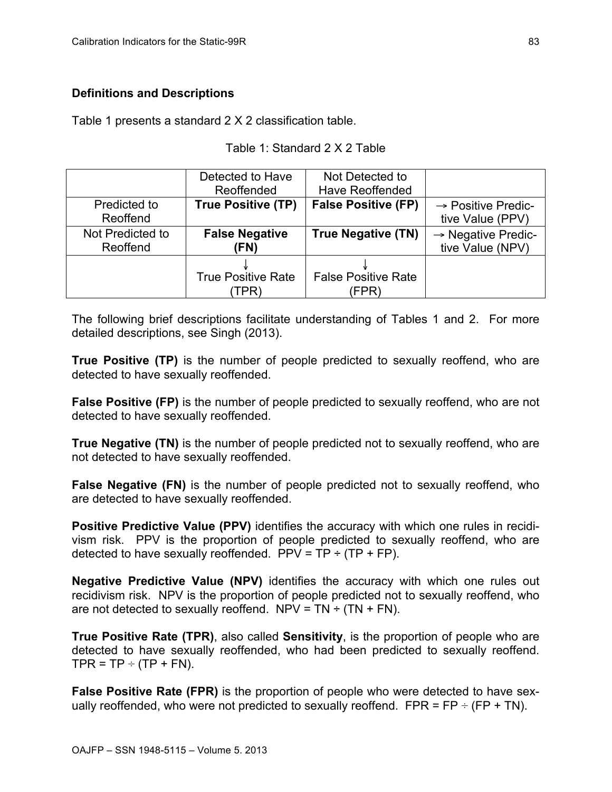## **Definitions and Descriptions**

Table 1 presents a standard 2 X 2 classification table.

#### Table 1: Standard 2 X 2 Table

|                  | Detected to Have          | Not Detected to            |                                |
|------------------|---------------------------|----------------------------|--------------------------------|
|                  | Reoffended                | <b>Have Reoffended</b>     |                                |
| Predicted to     | <b>True Positive (TP)</b> | <b>False Positive (FP)</b> | $\rightarrow$ Positive Predic- |
| Reoffend         |                           |                            | tive Value (PPV)               |
| Not Predicted to | <b>False Negative</b>     | <b>True Negative (TN)</b>  | $\rightarrow$ Negative Predic- |
| Reoffend         | (FN)                      |                            | tive Value (NPV)               |
|                  |                           |                            |                                |
|                  | <b>True Positive Rate</b> | <b>False Positive Rate</b> |                                |
|                  | TPR)                      | (FPR)                      |                                |

The following brief descriptions facilitate understanding of Tables 1 and 2. For more detailed descriptions, see Singh (2013).

**True Positive (TP)** is the number of people predicted to sexually reoffend, who are detected to have sexually reoffended.

**False Positive (FP)** is the number of people predicted to sexually reoffend, who are not detected to have sexually reoffended.

**True Negative (TN)** is the number of people predicted not to sexually reoffend, who are not detected to have sexually reoffended.

**False Negative (FN)** is the number of people predicted not to sexually reoffend, who are detected to have sexually reoffended.

**Positive Predictive Value (PPV)** identifies the accuracy with which one rules in recidivism risk. PPV is the proportion of people predicted to sexually reoffend, who are detected to have sexually reoffended.  $PPV = TP \div (TP + FP)$ .

**Negative Predictive Value (NPV)** identifies the accuracy with which one rules out recidivism risk. NPV is the proportion of people predicted not to sexually reoffend, who are not detected to sexually reoffend. NPV =  $TN \div (TN + FN)$ .

**True Positive Rate (TPR)**, also called **Sensitivity**, is the proportion of people who are detected to have sexually reoffended, who had been predicted to sexually reoffend.  $TPR = TP \div (TP + FN)$ .

**False Positive Rate (FPR)** is the proportion of people who were detected to have sexually reoffended, who were not predicted to sexually reoffend.  $FPR = FP \div (FP + TN)$ .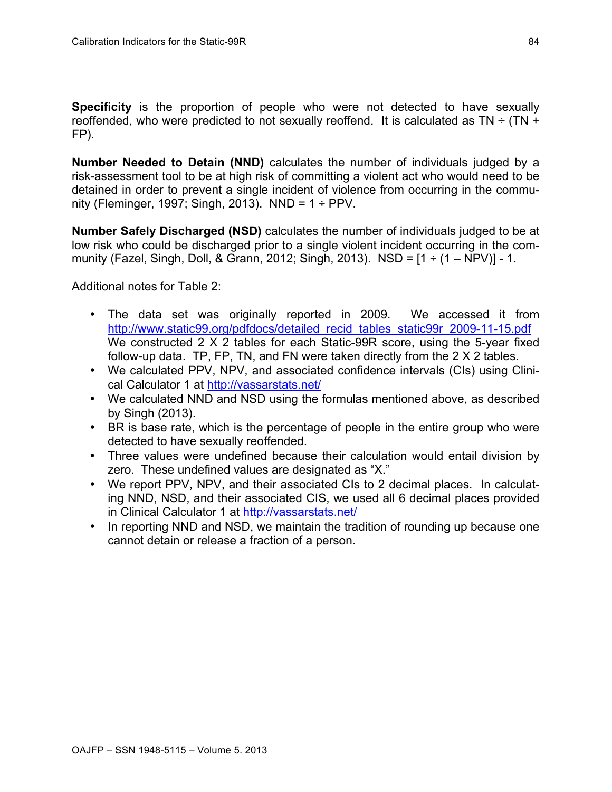**Specificity** is the proportion of people who were not detected to have sexually reoffended, who were predicted to not sexually reoffend. It is calculated as  $TN \div (TN +$ FP).

**Number Needed to Detain (NND)** calculates the number of individuals judged by a risk-assessment tool to be at high risk of committing a violent act who would need to be detained in order to prevent a single incident of violence from occurring in the community (Fleminger, 1997; Singh, 2013). NND =  $1 \div PPV$ .

**Number Safely Discharged (NSD)** calculates the number of individuals judged to be at low risk who could be discharged prior to a single violent incident occurring in the community (Fazel, Singh, Doll, & Grann, 2012; Singh, 2013). NSD =  $[1 \div (1 - NPV)] - 1$ .

Additional notes for Table 2:

- The data set was originally reported in 2009. We accessed it from http://www.static99.org/pdfdocs/detailed\_recid\_tables\_static99r\_2009-11-15.pdf We constructed 2 X 2 tables for each Static-99R score, using the 5-year fixed follow-up data. TP, FP, TN, and FN were taken directly from the 2 X 2 tables.
- We calculated PPV, NPV, and associated confidence intervals (CIs) using Clinical Calculator 1 at http://vassarstats.net/
- We calculated NND and NSD using the formulas mentioned above, as described by Singh (2013).
- BR is base rate, which is the percentage of people in the entire group who were detected to have sexually reoffended.
- Three values were undefined because their calculation would entail division by zero. These undefined values are designated as "X."
- We report PPV, NPV, and their associated CIs to 2 decimal places. In calculating NND, NSD, and their associated CIS, we used all 6 decimal places provided in Clinical Calculator 1 at http://vassarstats.net/
- In reporting NND and NSD, we maintain the tradition of rounding up because one cannot detain or release a fraction of a person.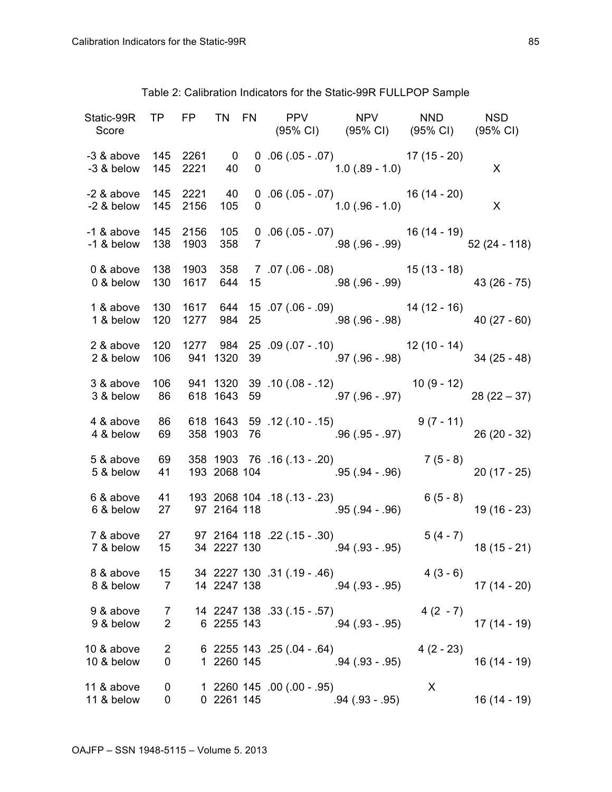|                          |                              |             |                              | Static-99R TP FP TN FN PPV NPV NND NSD<br>Score (95% CI) (95% CI) (95% CI) (95% CI) (95% CI)                          |             |              |
|--------------------------|------------------------------|-------------|------------------------------|-----------------------------------------------------------------------------------------------------------------------|-------------|--------------|
|                          |                              |             |                              | -3 & above $145$ 2261 0 0 .06 (.05 - .07) 17 (15 - 20)<br>-3 & below 145 2221 40 0 1.0 (.89 - 1.0)                    |             | $\mathsf{X}$ |
|                          |                              |             |                              | -2 & above $145$ 2221 $40$ 0 .06 (.05 - .07) $16$ (14 - 20)<br>-2 & below 145 2156 105 0 1.0 (.96 - 1.0) X            |             |              |
|                          |                              |             |                              | -1 & above $145$ 2156 $105$ 0 .06 (.05 - .07) 16 (14 - 19)<br>-1 & below 138 1903 358 7 .98 (.96 - .99) 52 (24 - 118) |             |              |
|                          |                              |             |                              | 0 & above 138 1903 358 7 .07 (.06 - .08) 15 (13 - 18)<br>0 & below 130 1617 644 15 .98 (.96 - .99) 43 (26 - 75)       |             |              |
|                          |                              |             |                              | 1 & above 130 1617 644 15 07 (06 - 09) 14 (12 - 16)<br>1 & below 120 1277 984 25 98 (96 - 98) 40 (27 - 60)            |             |              |
|                          |                              |             |                              | 2 & above 120 1277 984 25 .09 (.07 - .10) 12 (10 - 14)<br>2 & below 106 941 1320 39 .97 (.96 - .98) 34 (25 - 48)      |             |              |
|                          |                              |             |                              | 3 & above 106 941 1320 39 .10 (.08 - .12) 10 (9 - 12)<br>3 & below 86 618 1643 59 .97 (.96 - .97) 28 (22 - 37)        |             |              |
|                          |                              |             |                              | 4 & above 86 618 1643 59 .12 (.10 - .15) 9 (7 - 11)<br>4 & below 69 358 1903 76 96 (.95 - .97) 26 (20 - 32)           |             |              |
|                          |                              |             |                              | 5 & above 69 358 1903 76 .16 (.13 - .20) 7 (5 - 8)<br>5 & below 41 193 2068 104 95 (.94 - .96) 20 (17 - 25)           |             |              |
|                          |                              |             |                              | 6 & above 41 193 2068 104 .18 (.13 - .23) 6 (5 - 8)<br>6 & below 27 97 2164 118 .95 (.94 - .96) 19 (16 - 23)          |             |              |
|                          |                              |             |                              | 7 & above 27 97 2164 118 .22 (.15 - .30) 5 (4 - 7)<br>7 & below 15 34 2227 130 .94 (.93 - .95) 18 (15 - 21)           |             |              |
| 8 & above<br>8 & below   | 15<br>$\overline{7}$         | 14 2247 138 | 34 2227 130 .31 (.19 - .46)  | $.94$ $(.93 - .95)$                                                                                                   | $4(3-6)$    | $17(14-20)$  |
| 9 & above<br>9 & below   | 7<br>$\overline{2}$          | 6 2255 143  | 14 2247 138 .33 (.15 - .57)  | $.94(.93-.95)$                                                                                                        | $4(2 - 7)$  | $17(14-19)$  |
| 10 & above<br>10 & below | $\overline{\mathbf{c}}$<br>0 | 1 2260 145  | $6$ 2255 143 .25 (.04 - .64) | $.94(.93-.95)$                                                                                                        | $4(2 - 23)$ | $16(14-19)$  |
| 11 & above<br>11 & below | 0<br>0                       | 0 2261 145  | 1 2260 145 .00 (.00 - .95)   | $.94(.93-.95)$                                                                                                        | X           | $16(14-19)$  |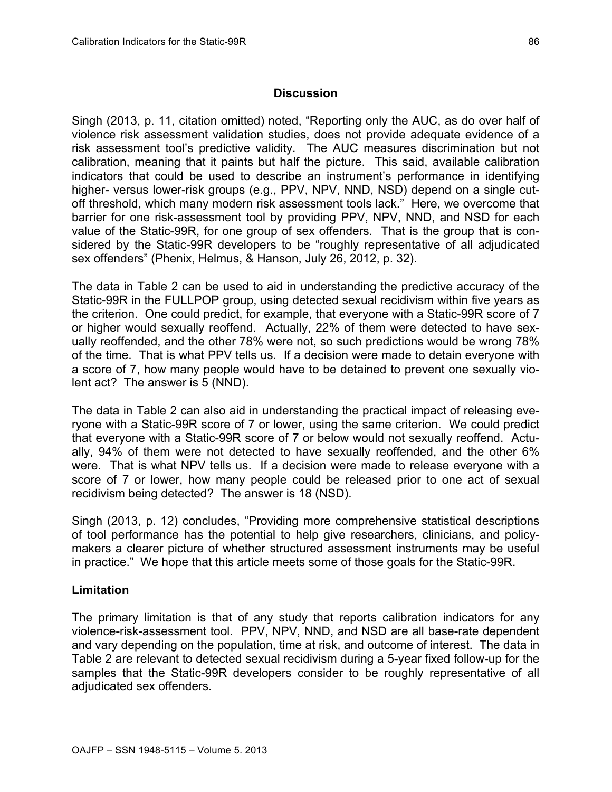#### **Discussion**

Singh (2013, p. 11, citation omitted) noted, "Reporting only the AUC, as do over half of violence risk assessment validation studies, does not provide adequate evidence of a risk assessment tool's predictive validity. The AUC measures discrimination but not calibration, meaning that it paints but half the picture. This said, available calibration indicators that could be used to describe an instrument's performance in identifying higher- versus lower-risk groups (e.g., PPV, NPV, NND, NSD) depend on a single cutoff threshold, which many modern risk assessment tools lack." Here, we overcome that barrier for one risk-assessment tool by providing PPV, NPV, NND, and NSD for each value of the Static-99R, for one group of sex offenders. That is the group that is considered by the Static-99R developers to be "roughly representative of all adjudicated sex offenders" (Phenix, Helmus, & Hanson, July 26, 2012, p. 32).

The data in Table 2 can be used to aid in understanding the predictive accuracy of the Static-99R in the FULLPOP group, using detected sexual recidivism within five years as the criterion. One could predict, for example, that everyone with a Static-99R score of 7 or higher would sexually reoffend. Actually, 22% of them were detected to have sexually reoffended, and the other 78% were not, so such predictions would be wrong 78% of the time. That is what PPV tells us. If a decision were made to detain everyone with a score of 7, how many people would have to be detained to prevent one sexually violent act? The answer is 5 (NND).

The data in Table 2 can also aid in understanding the practical impact of releasing everyone with a Static-99R score of 7 or lower, using the same criterion. We could predict that everyone with a Static-99R score of 7 or below would not sexually reoffend. Actually, 94% of them were not detected to have sexually reoffended, and the other 6% were. That is what NPV tells us. If a decision were made to release everyone with a score of 7 or lower, how many people could be released prior to one act of sexual recidivism being detected? The answer is 18 (NSD).

Singh (2013, p. 12) concludes, "Providing more comprehensive statistical descriptions of tool performance has the potential to help give researchers, clinicians, and policymakers a clearer picture of whether structured assessment instruments may be useful in practice." We hope that this article meets some of those goals for the Static-99R.

### **Limitation**

The primary limitation is that of any study that reports calibration indicators for any violence-risk-assessment tool. PPV, NPV, NND, and NSD are all base-rate dependent and vary depending on the population, time at risk, and outcome of interest. The data in Table 2 are relevant to detected sexual recidivism during a 5-year fixed follow-up for the samples that the Static-99R developers consider to be roughly representative of all adjudicated sex offenders.